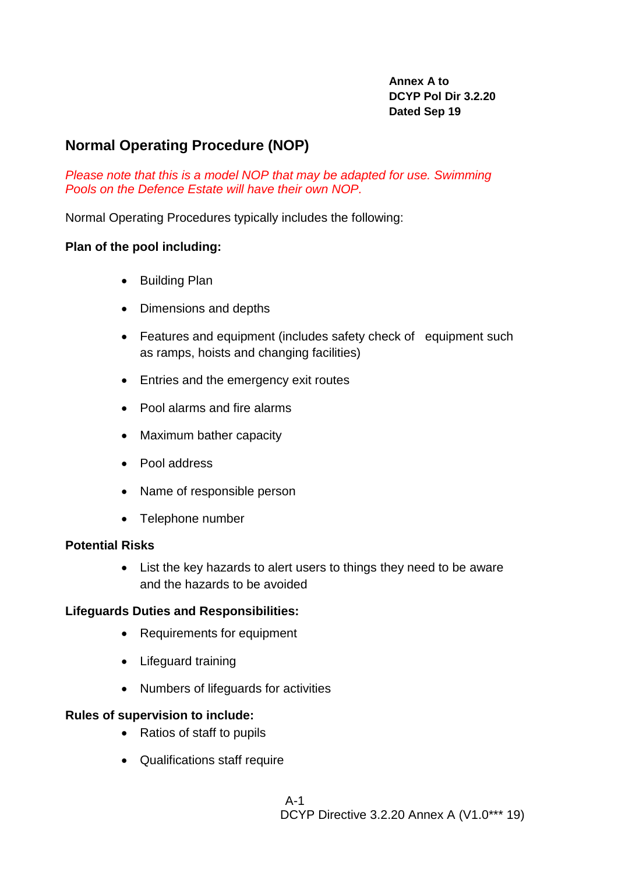**Annex A to DCYP Pol Dir 3.2.20 Dated Sep 19**

# **Normal Operating Procedure (NOP)**

*Please note that this is a model NOP that may be adapted for use. Swimming Pools on the Defence Estate will have their own NOP.*

Normal Operating Procedures typically includes the following:

### **Plan of the pool including:**

- Building Plan
- Dimensions and depths
- Features and equipment (includes safety check of equipment such as ramps, hoists and changing facilities)
- Entries and the emergency exit routes
- Pool alarms and fire alarms
- Maximum bather capacity
- Pool address
- Name of responsible person
- Telephone number

## **Potential Risks**

• List the key hazards to alert users to things they need to be aware and the hazards to be avoided

## **Lifeguards Duties and Responsibilities:**

- Requirements for equipment
- Lifeguard training
- Numbers of lifeguards for activities

## **Rules of supervision to include:**

- Ratios of staff to pupils
- Qualifications staff require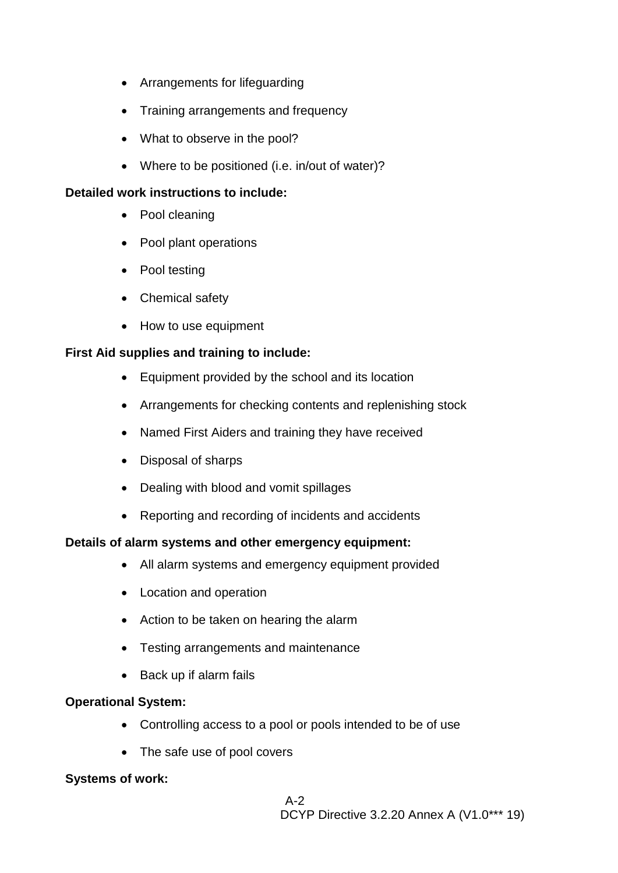- Arrangements for lifeguarding
- Training arrangements and frequency
- What to observe in the pool?
- Where to be positioned (i.e. in/out of water)?

### **Detailed work instructions to include:**

- Pool cleaning
- Pool plant operations
- Pool testing
- Chemical safety
- How to use equipment

## **First Aid supplies and training to include:**

- Equipment provided by the school and its location
- Arrangements for checking contents and replenishing stock
- Named First Aiders and training they have received
- Disposal of sharps
- Dealing with blood and vomit spillages
- Reporting and recording of incidents and accidents

## **Details of alarm systems and other emergency equipment:**

- All alarm systems and emergency equipment provided
- Location and operation
- Action to be taken on hearing the alarm
- Testing arrangements and maintenance
- Back up if alarm fails

## **Operational System:**

- Controlling access to a pool or pools intended to be of use
- The safe use of pool covers

## **Systems of work:**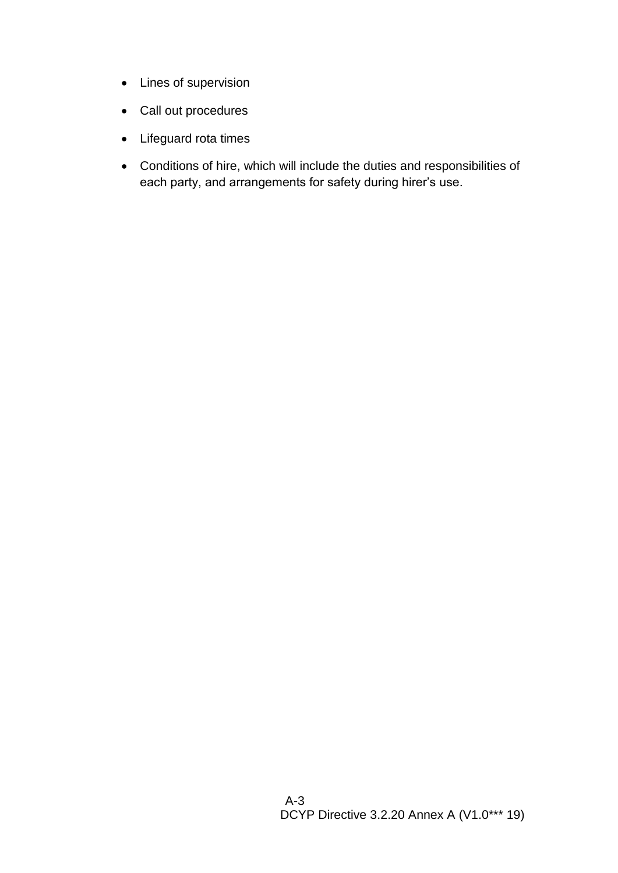- Lines of supervision
- Call out procedures
- Lifeguard rota times
- Conditions of hire, which will include the duties and responsibilities of each party, and arrangements for safety during hirer's use.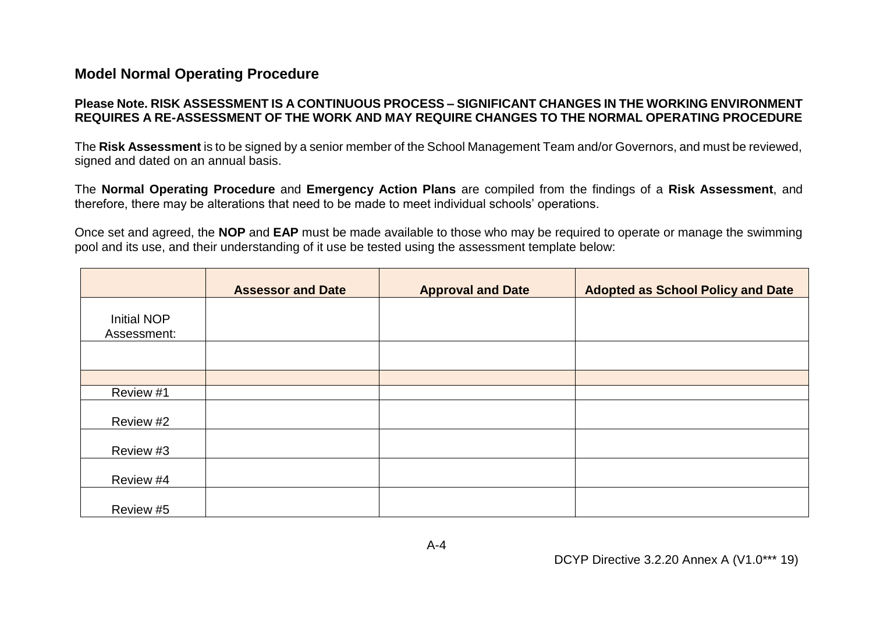# **Model Normal Operating Procedure**

### **Please Note. RISK ASSESSMENT IS A CONTINUOUS PROCESS – SIGNIFICANT CHANGES IN THE WORKING ENVIRONMENT REQUIRES A RE-ASSESSMENT OF THE WORK AND MAY REQUIRE CHANGES TO THE NORMAL OPERATING PROCEDURE**

The **Risk Assessment** is to be signed by a senior member of the School Management Team and/or Governors, and must be reviewed, signed and dated on an annual basis.

The **Normal Operating Procedure** and **Emergency Action Plans** are compiled from the findings of a **Risk Assessment**, and therefore, there may be alterations that need to be made to meet individual schools' operations.

Once set and agreed, the **NOP** and **EAP** must be made available to those who may be required to operate or manage the swimming pool and its use, and their understanding of it use be tested using the assessment template below:

|                            | <b>Assessor and Date</b> | <b>Approval and Date</b> | <b>Adopted as School Policy and Date</b> |
|----------------------------|--------------------------|--------------------------|------------------------------------------|
| Initial NOP<br>Assessment: |                          |                          |                                          |
|                            |                          |                          |                                          |
|                            |                          |                          |                                          |
| Review #1                  |                          |                          |                                          |
| Review #2                  |                          |                          |                                          |
| Review #3                  |                          |                          |                                          |
| Review #4                  |                          |                          |                                          |
| Review #5                  |                          |                          |                                          |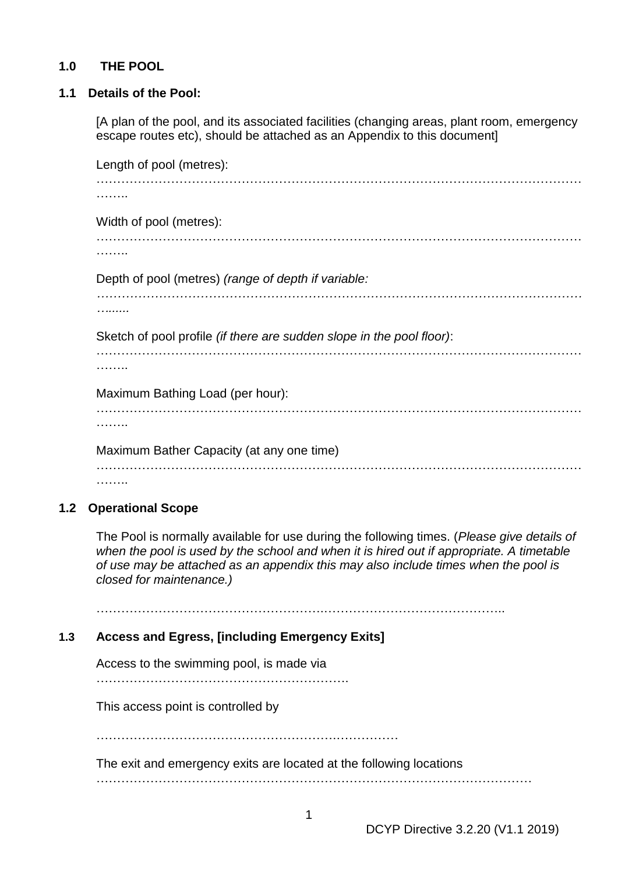### **1.0 THE POOL**

#### **1.1 Details of the Pool:**

[A plan of the pool, and its associated facilities (changing areas, plant room, emergency escape routes etc), should be attached as an Appendix to this document]

Length of pool (metres): ……………………………………………………………………………………………………… …….. Width of pool (metres): ……………………………………………………………………………………………………… …….. Depth of pool (metres) *(range of depth if variable: ……………………………………………………………………………………………………… …......* Sketch of pool profile *(if there are sudden slope in the pool floor)*: ……………………………………………………………………………………………………… ……… Maximum Bathing Load (per hour): ……………………………………………………………………………………………………… . . . . . . . . Maximum Bather Capacity (at any one time) ……………………………………………………………………………………………………… ………

## **1.2 Operational Scope**

The Pool is normally available for use during the following times. (*Please give details of when the pool is used by the school and when it is hired out if appropriate. A timetable of use may be attached as an appendix this may also include times when the pool is closed for maintenance.)*

……………………………………………….……………………………………..

#### **1.3 Access and Egress, [including Emergency Exits]**

Access to the swimming pool, is made via

…………………………………………………….

This access point is controlled by

………………………………………………….……………

The exit and emergency exits are located at the following locations

……………………………………………………………………………………………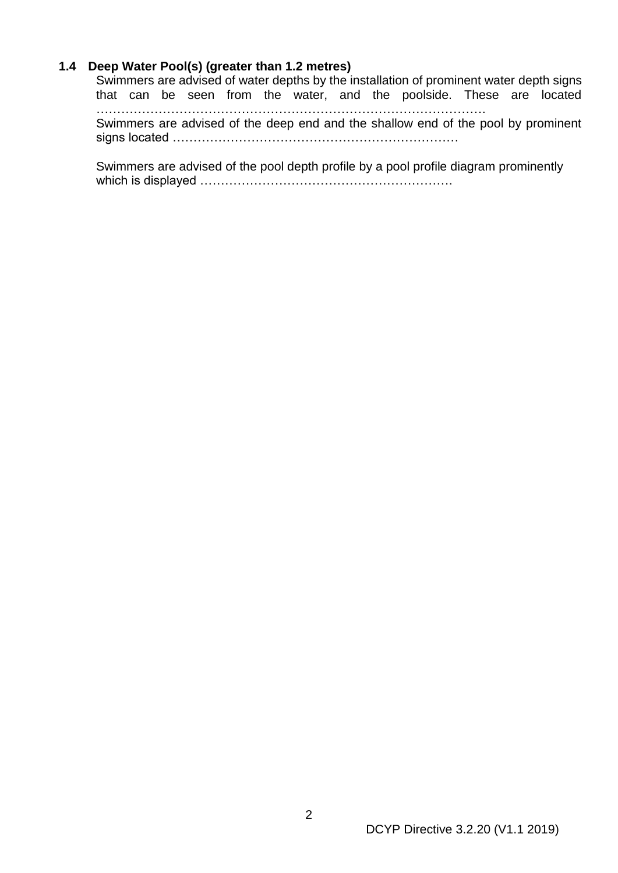#### **1.4 Deep Water Pool(s) (greater than 1.2 metres)**

Swimmers are advised of water depths by the installation of prominent water depth signs that can be seen from the water, and the poolside. These are located …………………………………………………………………………………. Swimmers are advised of the deep end and the shallow end of the pool by prominent signs located ……………………………………………………………

Swimmers are advised of the pool depth profile by a pool profile diagram prominently which is displayed …………………………………………………….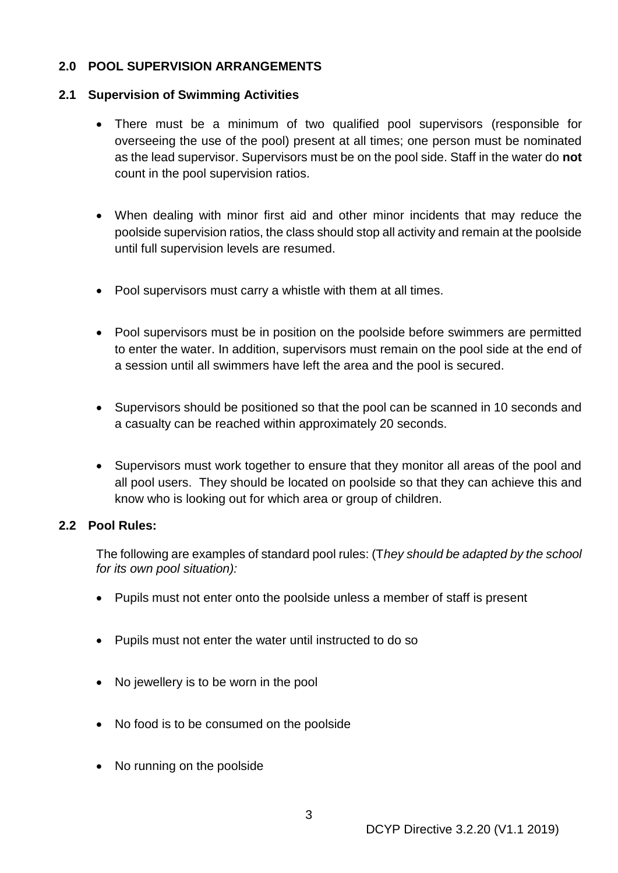## **2.0 POOL SUPERVISION ARRANGEMENTS**

#### **2.1 Supervision of Swimming Activities**

- There must be a minimum of two qualified pool supervisors (responsible for overseeing the use of the pool) present at all times; one person must be nominated as the lead supervisor. Supervisors must be on the pool side. Staff in the water do **not** count in the pool supervision ratios.
- When dealing with minor first aid and other minor incidents that may reduce the poolside supervision ratios, the class should stop all activity and remain at the poolside until full supervision levels are resumed.
- Pool supervisors must carry a whistle with them at all times.
- Pool supervisors must be in position on the poolside before swimmers are permitted to enter the water. In addition, supervisors must remain on the pool side at the end of a session until all swimmers have left the area and the pool is secured.
- Supervisors should be positioned so that the pool can be scanned in 10 seconds and a casualty can be reached within approximately 20 seconds.
- Supervisors must work together to ensure that they monitor all areas of the pool and all pool users. They should be located on poolside so that they can achieve this and know who is looking out for which area or group of children.

#### **2.2 Pool Rules:**

The following are examples of standard pool rules: (T*hey should be adapted by the school for its own pool situation):*

- Pupils must not enter onto the poolside unless a member of staff is present
- Pupils must not enter the water until instructed to do so
- No jewellery is to be worn in the pool
- No food is to be consumed on the poolside
- No running on the poolside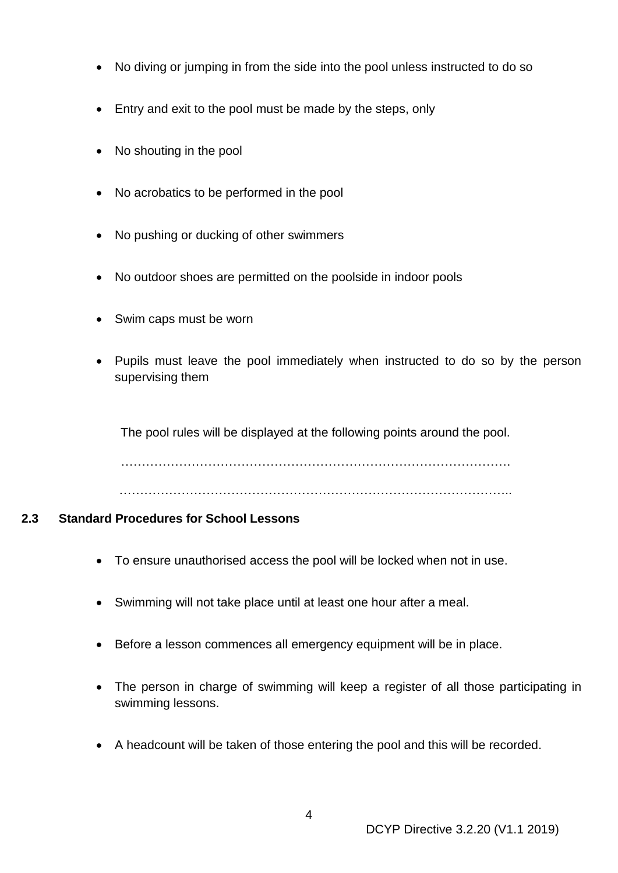- No diving or jumping in from the side into the pool unless instructed to do so
- Entry and exit to the pool must be made by the steps, only
- No shouting in the pool
- No acrobatics to be performed in the pool
- No pushing or ducking of other swimmers
- No outdoor shoes are permitted on the poolside in indoor pools
- Swim caps must be worn
- Pupils must leave the pool immediately when instructed to do so by the person supervising them

The pool rules will be displayed at the following points around the pool.

………………………………………………………………………………….

…………………………………………………………………………………..

## **2.3 Standard Procedures for School Lessons**

- To ensure unauthorised access the pool will be locked when not in use.
- Swimming will not take place until at least one hour after a meal.
- Before a lesson commences all emergency equipment will be in place.
- The person in charge of swimming will keep a register of all those participating in swimming lessons.
- A headcount will be taken of those entering the pool and this will be recorded.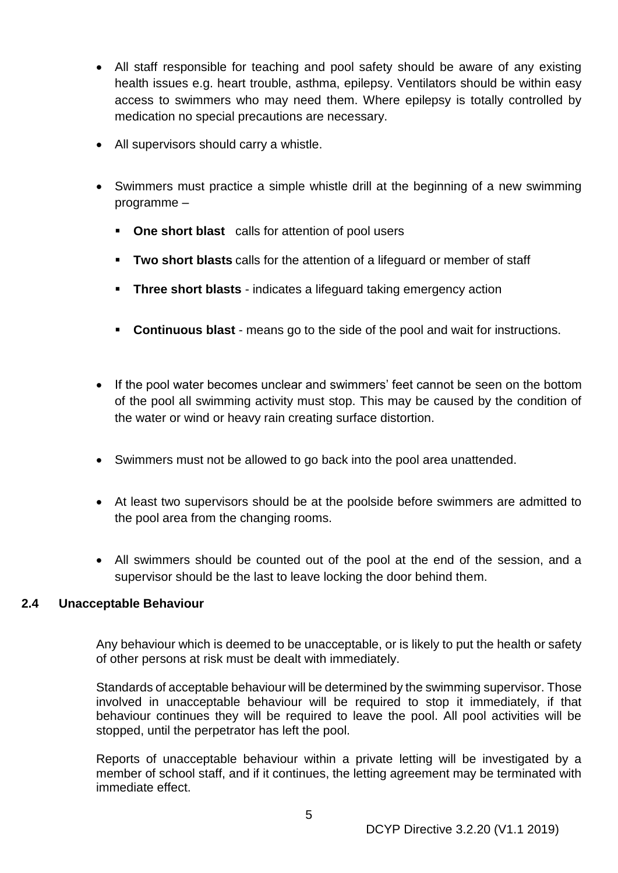- All staff responsible for teaching and pool safety should be aware of any existing health issues e.g. heart trouble, asthma, epilepsy. Ventilators should be within easy access to swimmers who may need them. Where epilepsy is totally controlled by medication no special precautions are necessary.
- All supervisors should carry a whistle.
- Swimmers must practice a simple whistle drill at the beginning of a new swimming programme –
	- **One short blast** calls for attention of pool users
	- **Two short blasts** calls for the attention of a lifeguard or member of staff
	- **EXECT:** Three short blasts indicates a lifeguard taking emergency action
	- **Continuous blast** means go to the side of the pool and wait for instructions.
- If the pool water becomes unclear and swimmers' feet cannot be seen on the bottom of the pool all swimming activity must stop. This may be caused by the condition of the water or wind or heavy rain creating surface distortion.
- Swimmers must not be allowed to go back into the pool area unattended.
- At least two supervisors should be at the poolside before swimmers are admitted to the pool area from the changing rooms.
- All swimmers should be counted out of the pool at the end of the session, and a supervisor should be the last to leave locking the door behind them.

#### **2.4 Unacceptable Behaviour**

Any behaviour which is deemed to be unacceptable, or is likely to put the health or safety of other persons at risk must be dealt with immediately.

Standards of acceptable behaviour will be determined by the swimming supervisor. Those involved in unacceptable behaviour will be required to stop it immediately, if that behaviour continues they will be required to leave the pool. All pool activities will be stopped, until the perpetrator has left the pool.

Reports of unacceptable behaviour within a private letting will be investigated by a member of school staff, and if it continues, the letting agreement may be terminated with immediate effect.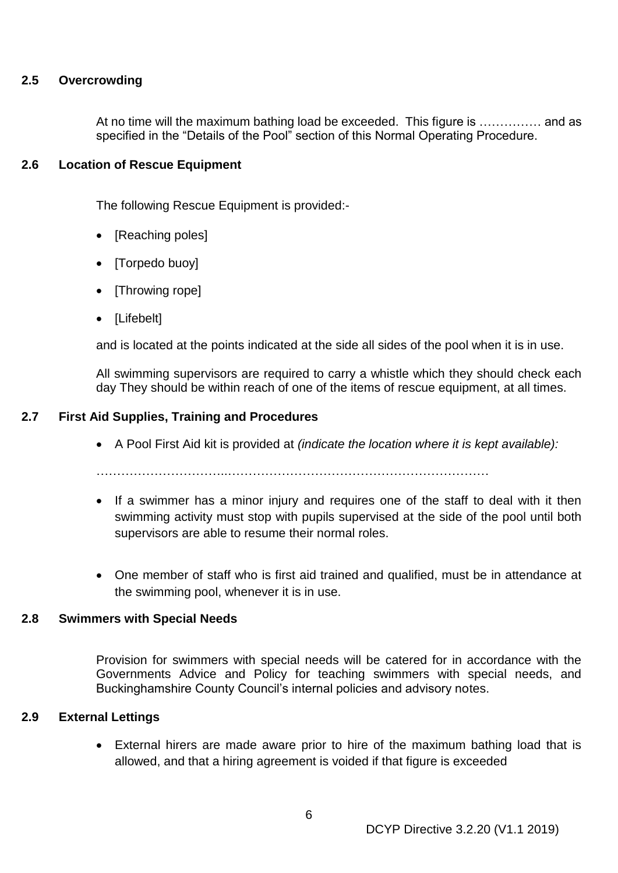#### **2.5 Overcrowding**

At no time will the maximum bathing load be exceeded. This figure is …………… and as specified in the "Details of the Pool" section of this Normal Operating Procedure.

#### **2.6 Location of Rescue Equipment**

The following Rescue Equipment is provided:-

- [Reaching poles]
- [Torpedo buoy]
- [Throwing rope]
- [Lifebelt]

and is located at the points indicated at the side all sides of the pool when it is in use.

All swimming supervisors are required to carry a whistle which they should check each day They should be within reach of one of the items of rescue equipment, at all times.

### **2.7 First Aid Supplies, Training and Procedures**

• A Pool First Aid kit is provided at *(indicate the location where it is kept available):*

…………………………..………………………………………………………

- If a swimmer has a minor injury and requires one of the staff to deal with it then swimming activity must stop with pupils supervised at the side of the pool until both supervisors are able to resume their normal roles.
- One member of staff who is first aid trained and qualified, must be in attendance at the swimming pool, whenever it is in use.

#### **2.8 Swimmers with Special Needs**

Provision for swimmers with special needs will be catered for in accordance with the Governments Advice and Policy for teaching swimmers with special needs, and Buckinghamshire County Council's internal policies and advisory notes.

#### **2.9 External Lettings**

External hirers are made aware prior to hire of the maximum bathing load that is allowed, and that a hiring agreement is voided if that figure is exceeded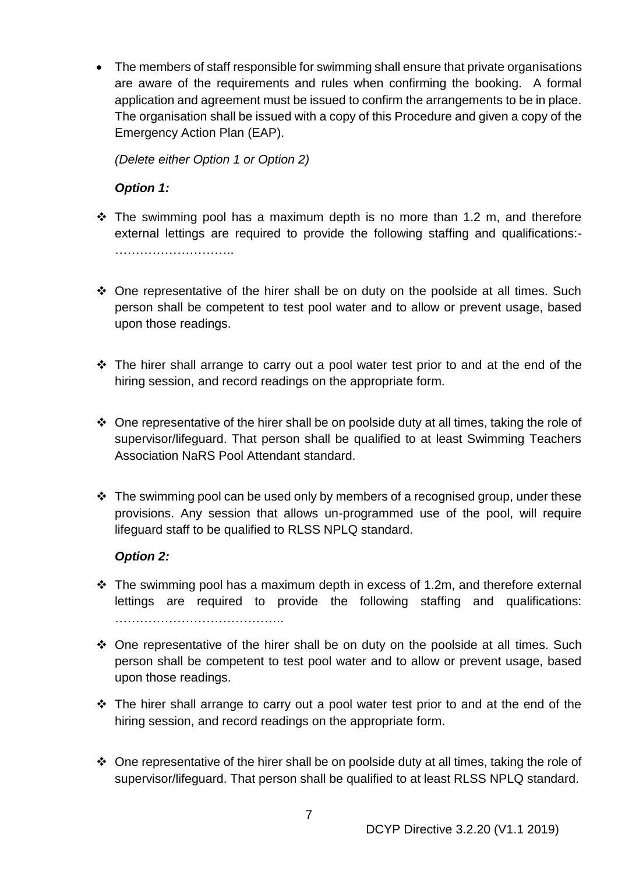• The members of staff responsible for swimming shall ensure that private organisations are aware of the requirements and rules when confirming the booking. A formal application and agreement must be issued to confirm the arrangements to be in place. The organisation shall be issued with a copy of this Procedure and given a copy of the Emergency Action Plan (EAP).

*(Delete either Option 1 or Option 2)*

## *Option 1:*

- ❖ The swimming pool has a maximum depth is no more than 1.2 m, and therefore external lettings are required to provide the following staffing and qualifications:- …………………………………
- ❖ One representative of the hirer shall be on duty on the poolside at all times. Such person shall be competent to test pool water and to allow or prevent usage, based upon those readings.
- ❖ The hirer shall arrange to carry out a pool water test prior to and at the end of the hiring session, and record readings on the appropriate form.
- ❖ One representative of the hirer shall be on poolside duty at all times, taking the role of supervisor/lifeguard. That person shall be qualified to at least Swimming Teachers Association NaRS Pool Attendant standard.
- $\div$  The swimming pool can be used only by members of a recognised group, under these provisions. Any session that allows un-programmed use of the pool, will require lifeguard staff to be qualified to RLSS NPLQ standard.

## *Option 2:*

- ❖ The swimming pool has a maximum depth in excess of 1.2m, and therefore external lettings are required to provide the following staffing and qualifications: …………………………………..
- ❖ One representative of the hirer shall be on duty on the poolside at all times. Such person shall be competent to test pool water and to allow or prevent usage, based upon those readings.
- ❖ The hirer shall arrange to carry out a pool water test prior to and at the end of the hiring session, and record readings on the appropriate form.
- ❖ One representative of the hirer shall be on poolside duty at all times, taking the role of supervisor/lifeguard. That person shall be qualified to at least RLSS NPLQ standard.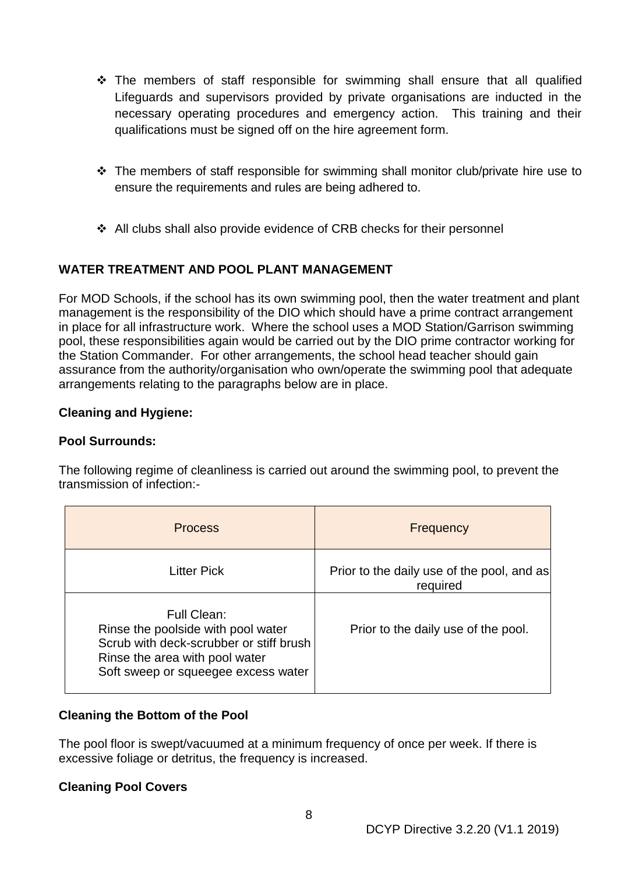- ❖ The members of staff responsible for swimming shall ensure that all qualified Lifeguards and supervisors provided by private organisations are inducted in the necessary operating procedures and emergency action. This training and their qualifications must be signed off on the hire agreement form.
- ❖ The members of staff responsible for swimming shall monitor club/private hire use to ensure the requirements and rules are being adhered to.
- ❖ All clubs shall also provide evidence of CRB checks for their personnel

# **WATER TREATMENT AND POOL PLANT MANAGEMENT**

For MOD Schools, if the school has its own swimming pool, then the water treatment and plant management is the responsibility of the DIO which should have a prime contract arrangement in place for all infrastructure work. Where the school uses a MOD Station/Garrison swimming pool, these responsibilities again would be carried out by the DIO prime contractor working for the Station Commander. For other arrangements, the school head teacher should gain assurance from the authority/organisation who own/operate the swimming pool that adequate arrangements relating to the paragraphs below are in place.

## **Cleaning and Hygiene:**

### **Pool Surrounds:**

The following regime of cleanliness is carried out around the swimming pool, to prevent the transmission of infection:-

| <b>Process</b>                                                                                                                                                        | Frequency                                              |
|-----------------------------------------------------------------------------------------------------------------------------------------------------------------------|--------------------------------------------------------|
| <b>Litter Pick</b>                                                                                                                                                    | Prior to the daily use of the pool, and as<br>required |
| Full Clean:<br>Rinse the poolside with pool water<br>Scrub with deck-scrubber or stiff brush<br>Rinse the area with pool water<br>Soft sweep or squeegee excess water | Prior to the daily use of the pool.                    |

## **Cleaning the Bottom of the Pool**

The pool floor is swept/vacuumed at a minimum frequency of once per week. If there is excessive foliage or detritus, the frequency is increased.

#### **Cleaning Pool Covers**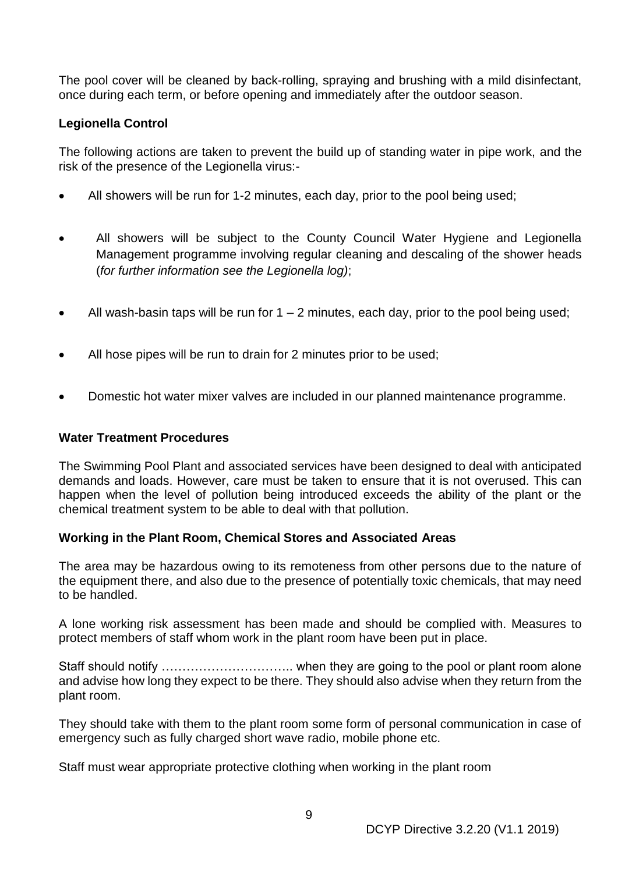The pool cover will be cleaned by back-rolling, spraying and brushing with a mild disinfectant, once during each term, or before opening and immediately after the outdoor season.

### **Legionella Control**

The following actions are taken to prevent the build up of standing water in pipe work, and the risk of the presence of the Legionella virus:-

- All showers will be run for 1-2 minutes, each day, prior to the pool being used;
- All showers will be subject to the County Council Water Hygiene and Legionella Management programme involving regular cleaning and descaling of the shower heads (*for further information see the Legionella log)*;
- All wash-basin taps will be run for  $1 2$  minutes, each day, prior to the pool being used;
- All hose pipes will be run to drain for 2 minutes prior to be used;
- Domestic hot water mixer valves are included in our planned maintenance programme.

#### **Water Treatment Procedures**

The Swimming Pool Plant and associated services have been designed to deal with anticipated demands and loads. However, care must be taken to ensure that it is not overused. This can happen when the level of pollution being introduced exceeds the ability of the plant or the chemical treatment system to be able to deal with that pollution.

#### **Working in the Plant Room, Chemical Stores and Associated Areas**

The area may be hazardous owing to its remoteness from other persons due to the nature of the equipment there, and also due to the presence of potentially toxic chemicals, that may need to be handled.

A lone working risk assessment has been made and should be complied with. Measures to protect members of staff whom work in the plant room have been put in place.

Staff should notify ………………………….. when they are going to the pool or plant room alone and advise how long they expect to be there. They should also advise when they return from the plant room.

They should take with them to the plant room some form of personal communication in case of emergency such as fully charged short wave radio, mobile phone etc.

Staff must wear appropriate protective clothing when working in the plant room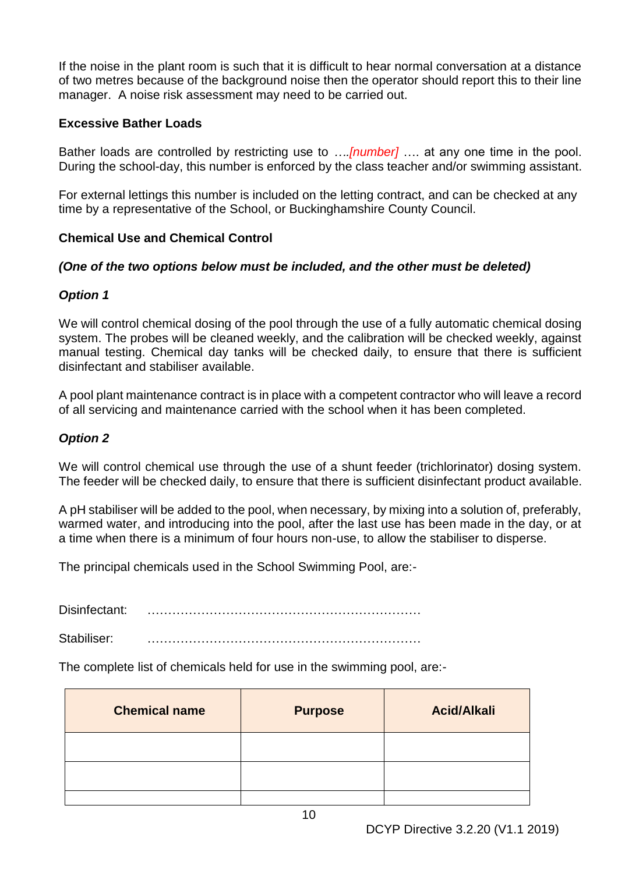If the noise in the plant room is such that it is difficult to hear normal conversation at a distance of two metres because of the background noise then the operator should report this to their line manager. A noise risk assessment may need to be carried out.

### **Excessive Bather Loads**

Bather loads are controlled by restricting use to *….[number]* …. at any one time in the pool. During the school-day, this number is enforced by the class teacher and/or swimming assistant.

For external lettings this number is included on the letting contract, and can be checked at any time by a representative of the School, or Buckinghamshire County Council.

## **Chemical Use and Chemical Control**

### *(One of the two options below must be included, and the other must be deleted)*

### *Option 1*

We will control chemical dosing of the pool through the use of a fully automatic chemical dosing system. The probes will be cleaned weekly, and the calibration will be checked weekly, against manual testing. Chemical day tanks will be checked daily, to ensure that there is sufficient disinfectant and stabiliser available.

A pool plant maintenance contract is in place with a competent contractor who will leave a record of all servicing and maintenance carried with the school when it has been completed.

#### *Option 2*

We will control chemical use through the use of a shunt feeder (trichlorinator) dosing system. The feeder will be checked daily, to ensure that there is sufficient disinfectant product available.

A pH stabiliser will be added to the pool, when necessary, by mixing into a solution of, preferably, warmed water, and introducing into the pool, after the last use has been made in the day, or at a time when there is a minimum of four hours non-use, to allow the stabiliser to disperse.

The principal chemicals used in the School Swimming Pool, are:-

Disinfectant:

Stabiliser: …………………………………………………………

The complete list of chemicals held for use in the swimming pool, are:-

| <b>Chemical name</b> | <b>Purpose</b> | <b>Acid/Alkali</b> |
|----------------------|----------------|--------------------|
|                      |                |                    |
|                      |                |                    |
|                      |                |                    |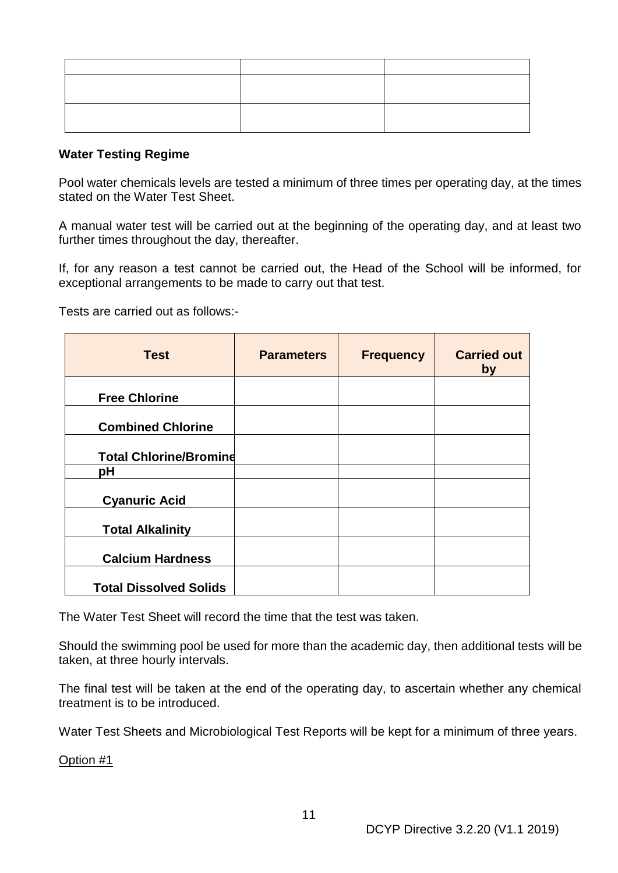#### **Water Testing Regime**

Pool water chemicals levels are tested a minimum of three times per operating day, at the times stated on the Water Test Sheet.

A manual water test will be carried out at the beginning of the operating day, and at least two further times throughout the day, thereafter.

If, for any reason a test cannot be carried out, the Head of the School will be informed, for exceptional arrangements to be made to carry out that test.

Tests are carried out as follows:-

| <b>Test</b>                   | <b>Parameters</b> | <b>Frequency</b> | <b>Carried out</b><br>by |
|-------------------------------|-------------------|------------------|--------------------------|
| <b>Free Chlorine</b>          |                   |                  |                          |
| <b>Combined Chlorine</b>      |                   |                  |                          |
| <b>Total Chlorine/Bromine</b> |                   |                  |                          |
| рH                            |                   |                  |                          |
| <b>Cyanuric Acid</b>          |                   |                  |                          |
| <b>Total Alkalinity</b>       |                   |                  |                          |
| <b>Calcium Hardness</b>       |                   |                  |                          |
| <b>Total Dissolved Solids</b> |                   |                  |                          |

The Water Test Sheet will record the time that the test was taken.

Should the swimming pool be used for more than the academic day, then additional tests will be taken, at three hourly intervals.

The final test will be taken at the end of the operating day, to ascertain whether any chemical treatment is to be introduced.

Water Test Sheets and Microbiological Test Reports will be kept for a minimum of three years.

Option #1